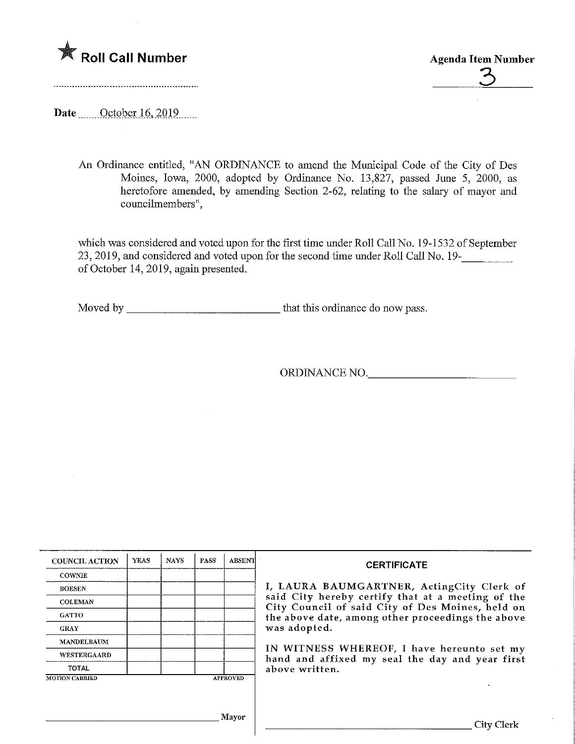



Date <u>October 16</u>, 2019

An Ordinance entitled, "AN ORDINANCE to amend the Municipal Code of the City of Des Moines, Iowa, 2000, adopted by Ordinance No. 13,827, passed June 5, 2000, as heretofore amended, by amending Section 2-62, relating to the salary of mayor and councilmembers".

which was considered and voted upon for the first time under Roll Call No. 19-1532 of September 23, 2019, and considered and voted upon for the second time under Roll Call No. 19-\_ of October 14, 2019, again presented.

Moved by that this ordinance do now pass.

ORDINANCE NO.

| <b>COUNCIL ACTION</b> | <b>YEAS</b> | <b>NAYS</b> | <b>PASS</b> | <b>ABSENT</b>   | <b>CERTIFICATE</b>                                                                                    |
|-----------------------|-------------|-------------|-------------|-----------------|-------------------------------------------------------------------------------------------------------|
| <b>COWNIE</b>         |             |             |             |                 |                                                                                                       |
| <b>BOESEN</b>         |             |             |             |                 | I, LAURA BAUMGARTNER, ActingCity Clerk of                                                             |
| <b>COLEMAN</b>        |             |             |             |                 | said City hereby certify that at a meeting of the<br>City Council of said City of Des Moines, held on |
| <b>GATTO</b>          |             |             |             |                 | the above date, among other proceedings the above                                                     |
| <b>GRAY</b>           |             |             |             |                 | was adopted.                                                                                          |
| <b>MANDELBAUM</b>     |             |             |             |                 |                                                                                                       |
| <b>WESTERGAARD</b>    |             |             |             |                 | IN WITNESS WHEREOF, I have hereunto set my<br>hand and affixed my seal the day and year first         |
| <b>TOTAL</b>          |             |             |             |                 | above written.                                                                                        |
| <b>MOTION CARRIED</b> |             |             |             | <b>APPROVED</b> |                                                                                                       |
|                       |             |             |             |                 |                                                                                                       |
|                       |             |             |             |                 |                                                                                                       |
|                       |             |             |             | Mayor           |                                                                                                       |
|                       |             |             |             |                 | City Clerk                                                                                            |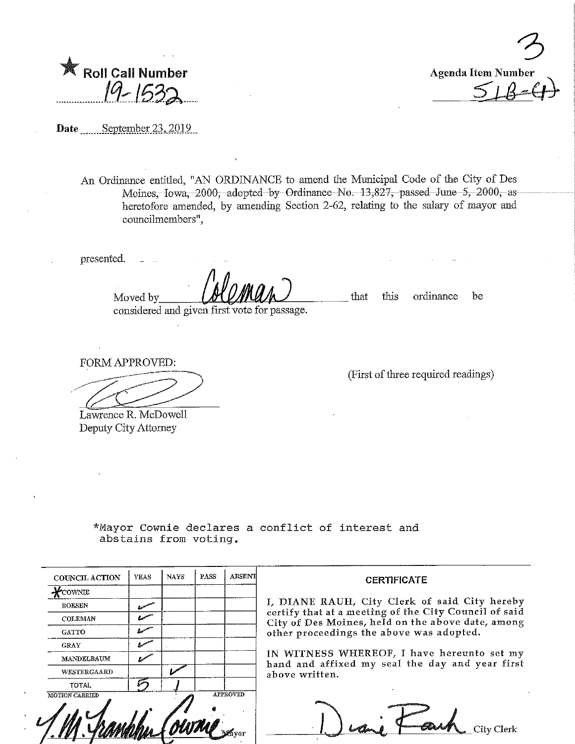| <b>Roll Call Number</b> |             |
|-------------------------|-------------|
|                         |             |
|                         | $19 - 1532$ |



Date September 23, 2019

An Ordinance entitled, "AN ORDINANCE to amend the Municipal Code of the City of Des Moines, Iowa, 2000, adopted by Ordinanee-No. 13,827, passed June 5, 2000, asheretofore amended, by amending Section 2-62, relating to the salary of mayor and councilmembers",

presented.

considered and given first vote for passage.

that this ordinance be

FORM APPROVED:

Moved by

Lawrence R. McDowell Deputy City Attorney

771.

(First of three required readings)

\*Mayor Cownie declares a conflict of interest and abstains from voting.

| <b>COUNCIL ACTION</b> | <b>YEAS</b> | <b>NAYS</b> | PASS | <b>ABSENT</b>   |                             |
|-----------------------|-------------|-------------|------|-----------------|-----------------------------|
| $\chi$ cownie         |             |             |      |                 |                             |
| <b>BOESEN</b>         |             |             |      |                 | I, DIANE I                  |
| <b>COLEMAN</b>        |             |             |      |                 | certify that<br>City of Des |
| <b>GATTO</b>          |             |             |      |                 | other proce                 |
| <b>GRAY</b>           |             |             |      |                 |                             |
| MANDELBAUM            |             |             |      |                 | IN WITNE<br>hand and a      |
| WESTERGAARD           |             |             |      |                 | above writt                 |
| <b>TOTAL</b>          |             |             |      |                 |                             |
| <b>MOTION CARRIED</b> |             |             |      | <b>APPROVED</b> |                             |
|                       |             |             |      |                 |                             |

CERTIFICATE

RAUH, City Clerk of said City hereby at a meeting of the City Council of said Moines, held on the above date, among edings the above was adopted.

SS WHEREOF, I have hereunto set my affixed my seal the day and year first ten.

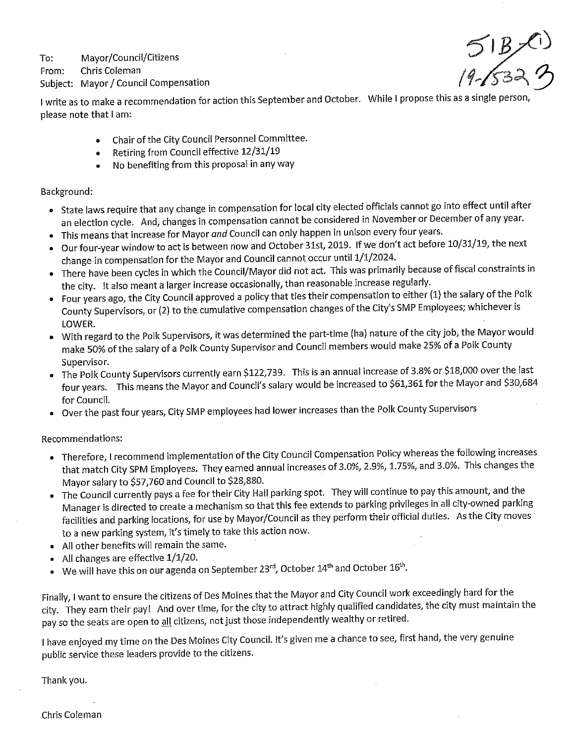To: Mayor/Council/Citizens

From: Chris Coleman

Subject: Mayor/Council Compensation

 $51B(1)$ <br>19-6323

I write as to make a recommendation for action this September and October. While I propose this as a single person please note that I am:

- Chair of the City Council Personnel Committee.  $\bullet$
- Retiring from Councii effective 12/31/19  $\bullet$
- No benefiting from this proposal in any way  $\bullet$

Background:

- State laws require that any change in compensation for local city elected officials cannot go into effect until after an election cycle. And, changes in compensation cannot be considered in November or December of any year.
- This means that increase for Mayor and Council can only happen in unison every four years.
- Our four-year window to act is between now and October 31st, 2019. If we don't act before 10/31/19, the next change in compensation for the Mayor and Council cannot occur until 1/1/2024.
- There have been cycles in which the Council/Mayor did not act. This was primarily because of fiscal constraints in the city. It also meant a larger increase occasionally, than reasonable increase regularly.
- Four years ago, the City Council approved a policy that ties their compensation to either (1) the salary of the Polk County Supervisors, or (2) to the cumulative compensation changes of the City's SMP Employees; whichever is LOWER.
- With regard to the.Polk Supervisors/ it was determined the part-time (ha) nature of the city Job/the Mayor would make 50% of the salary of a Polk County Supervisor and Council members would make 25% of a Polk County Supervisor.
- The Polk County Supervisors currently earn \$122,739. This is an annual increase of 3.8% or \$18,000 over the last four years. This means the Mayor and Council's salary would be increased to \$61,361 for the Mayor and \$30,684 for Council.
- Over the past four years, City SMP employees had lower increases than the Polk County Supervisors

Recommendations:

- Therefore, I recommend implementation of the City Council Compensation Policy whereas the following increases that match City SPM Employees. They earned annual increases of 3.0%, 2.9%, 1.75%, and 3.0%. This changes the Mayor salary to \$57/760 and Council to \$28,880.
- The Council currently pays a fee for their City Hall parking spot. They will continue to pay this amount, and the Manager is directed to create a mechanism so that this fee extends to parking privileges in all city-owned parking facilities and parking locations, for use by Mayor/Council as they perform their official duties. As the City moves to a new parking system, it's timely to take this action now.
- All other benefits will remain the same.
- » Al! changes are effective 1/1/20.
- $\bullet$  We will have this on our agenda on September 23<sup>rd</sup>, October 14<sup>th</sup> and October 16<sup>th</sup>.

Finally, I want to ensure the citizens of Des Moines that the Mayor and City Council work exceedingly hard for the city. They earn their pay! And over time, for the city to attract highly qualified candidates, the city must maintain the pay so the seats are open to all citizens, not just those independently wealthy or retired.

I have enjoyed my time on the Des Moines City Council. It's given me a chance to see, first hand, the very genuine public service these leaders provide to the citizens.

Thank you.